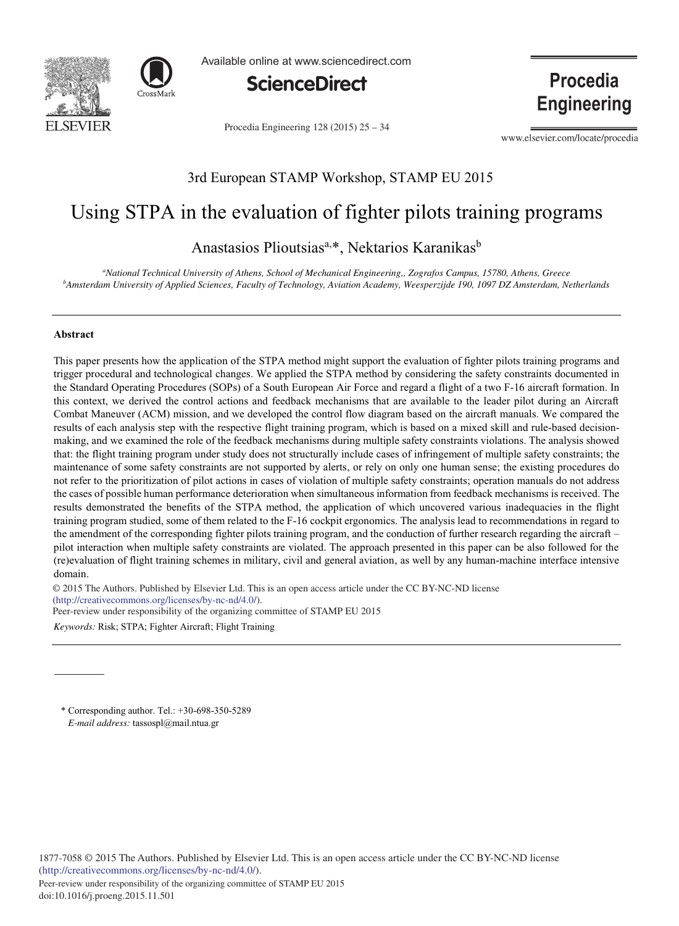



Available online at www.sciencedirect.com



Procedia Engineering  $128$  (2015)  $25 - 34$ 

www.elsevier.com/locate/procedia

**Procedia** 

**Engineering** 

# 3rd European STAMP Workshop, STAMP EU 2015

# Using STPA in the evaluation of fighter pilots training programs

Anastasios Plioutsias<sup>a,\*</sup>, Nektarios Karanikas<sup>b</sup>

*a National Technical University of Athens, School of Mechanical Engineering,, Zografos Campus, 15780, Athens, Greece b Amsterdam University of Applied Sciences, Faculty of Technology, Aviation Academy, Weesperzijde 190, 1097 DZ Amsterdam, Netherlands*

#### **Abstract**

This paper presents how the application of the STPA method might support the evaluation of fighter pilots training programs and trigger procedural and technological changes. We applied the STPA method by considering the safety constraints documented in the Standard Operating Procedures (SOPs) of a South European Air Force and regard a flight of a two F-16 aircraft formation. In this context, we derived the control actions and feedback mechanisms that are available to the leader pilot during an Aircraft Combat Maneuver (ACM) mission, and we developed the control flow diagram based on the aircraft manuals. We compared the results of each analysis step with the respective flight training program, which is based on a mixed skill and rule-based decisionmaking, and we examined the role of the feedback mechanisms during multiple safety constraints violations. The analysis showed that: the flight training program under study does not structurally include cases of infringement of multiple safety constraints; the maintenance of some safety constraints are not supported by alerts, or rely on only one human sense; the existing procedures do not refer to the prioritization of pilot actions in cases of violation of multiple safety constraints; operation manuals do not address the cases of possible human performance deterioration when simultaneous information from feedback mechanisms is received. The results demonstrated the benefits of the STPA method, the application of which uncovered various inadequacies in the flight training program studied, some of them related to the F-16 cockpit ergonomics. The analysis lead to recommendations in regard to the amendment of the corresponding fighter pilots training program, and the conduction of further research regarding the aircraft – pilot interaction when multiple safety constraints are violated. The approach presented in this paper can be also followed for the (re)evaluation of flight training schemes in military, civil and general aviation, as well by any human-machine interface intensive domain.

© 2016 The Authors. Published by Elsevier Ltd. © 2015 The Authors. Published by Elsevier Ltd. This is an open access article under the CC BY-NC-ND license (http://creativecommons.org/licenses/by-nc-nd/4.0/). *Keywords:* Risk; STPA; Fighter Aircraft; Flight Training Peer-review under responsibility of the organizing committee of STAMP EU 2015

\* Corresponding author. Tel.: +30-698-350-5289 *E-mail address:* tassospl@mail.ntua.gr

1877-7058 © 2015 The Authors. Published by Elsevier Ltd. This is an open access article under the CC BY-NC-ND license (http://creativecommons.org/licenses/by-nc-nd/4.0/).

Peer-review under responsibility of the organizing committee of STAMP EU 2015 doi: 10.1016/j.proeng.2015.11.501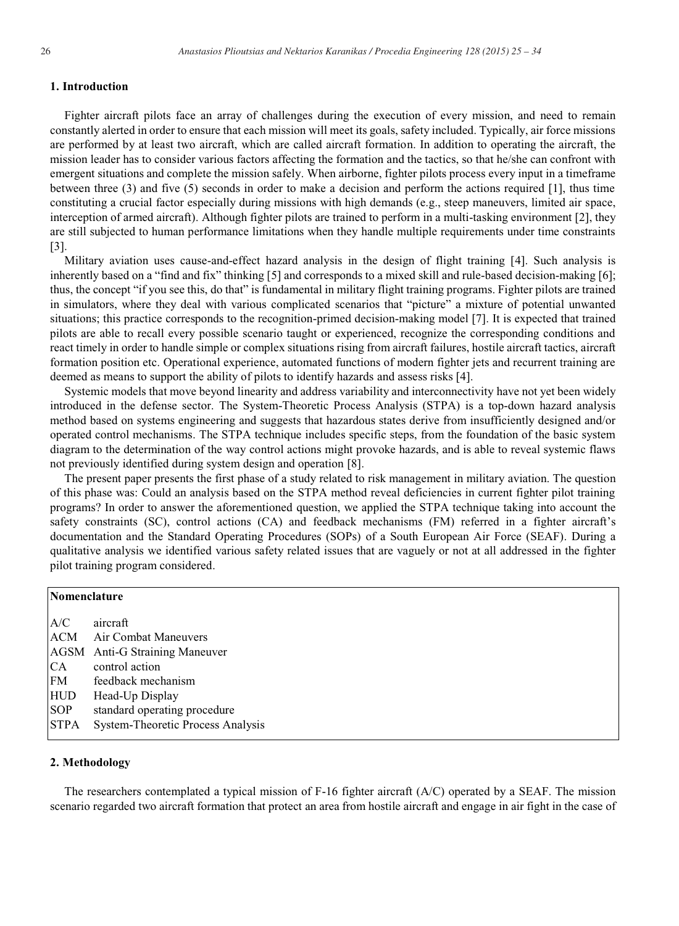# **1. Introduction**

Fighter aircraft pilots face an array of challenges during the execution of every mission, and need to remain constantly alerted in order to ensure that each mission will meet its goals, safety included. Typically, air force missions are performed by at least two aircraft, which are called aircraft formation. In addition to operating the aircraft, the mission leader has to consider various factors affecting the formation and the tactics, so that he/she can confront with emergent situations and complete the mission safely. When airborne, fighter pilots process every input in a timeframe between three (3) and five (5) seconds in order to make a decision and perform the actions required [1], thus time constituting a crucial factor especially during missions with high demands (e.g., steep maneuvers, limited air space, interception of armed aircraft). Although fighter pilots are trained to perform in a multi-tasking environment [2], they are still subjected to human performance limitations when they handle multiple requirements under time constraints [3].

Military aviation uses cause-and-effect hazard analysis in the design of flight training [4]. Such analysis is inherently based on a "find and fix" thinking [5] and corresponds to a mixed skill and rule-based decision-making [6]; thus, the concept "if you see this, do that" is fundamental in military flight training programs. Fighter pilots are trained in simulators, where they deal with various complicated scenarios that "picture" a mixture of potential unwanted situations; this practice corresponds to the recognition-primed decision-making model [7]. It is expected that trained pilots are able to recall every possible scenario taught or experienced, recognize the corresponding conditions and react timely in order to handle simple or complex situations rising from aircraft failures, hostile aircraft tactics, aircraft formation position etc. Operational experience, automated functions of modern fighter jets and recurrent training are deemed as means to support the ability of pilots to identify hazards and assess risks [4].

Systemic models that move beyond linearity and address variability and interconnectivity have not yet been widely introduced in the defense sector. The System-Theoretic Process Analysis (STPA) is a top-down hazard analysis method based on systems engineering and suggests that hazardous states derive from insufficiently designed and/or operated control mechanisms. The STPA technique includes specific steps, from the foundation of the basic system diagram to the determination of the way control actions might provoke hazards, and is able to reveal systemic flaws not previously identified during system design and operation [8].

The present paper presents the first phase of a study related to risk management in military aviation. The question of this phase was: Could an analysis based on the STPA method reveal deficiencies in current fighter pilot training programs? In order to answer the aforementioned question, we applied the STPA technique taking into account the safety constraints (SC), control actions (CA) and feedback mechanisms (FM) referred in a fighter aircraft's documentation and the Standard Operating Procedures (SOPs) of a South European Air Force (SEAF). During a qualitative analysis we identified various safety related issues that are vaguely or not at all addressed in the fighter pilot training program considered.

#### **Nomenclature**

| A/C         | aircraft                              |
|-------------|---------------------------------------|
| ACM         | Air Combat Maneuvers                  |
|             | <b>AGSM</b> Anti-G Straining Maneuver |
| CA.         | control action                        |
| FM          | feedback mechanism                    |
| <b>HUD</b>  | Head-Up Display                       |
| <b>SOP</b>  | standard operating procedure          |
| <b>STPA</b> | System-Theoretic Process Analysis     |
|             |                                       |

# **2. Methodology**

The researchers contemplated a typical mission of F-16 fighter aircraft (A/C) operated by a SEAF. The mission scenario regarded two aircraft formation that protect an area from hostile aircraft and engage in air fight in the case of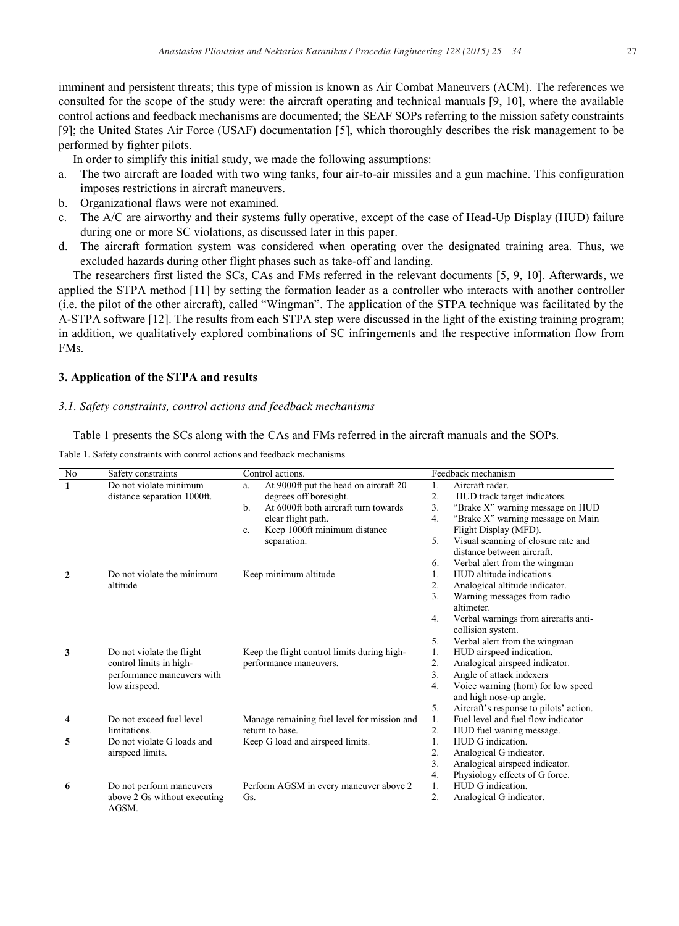imminent and persistent threats; this type of mission is known as Air Combat Maneuvers (ACM). The references we consulted for the scope of the study were: the aircraft operating and technical manuals [9, 10], where the available control actions and feedback mechanisms are documented; the SEAF SOPs referring to the mission safety constraints [9]; the United States Air Force (USAF) documentation [5], which thoroughly describes the risk management to be performed by fighter pilots.

In order to simplify this initial study, we made the following assumptions:

- a. The two aircraft are loaded with two wing tanks, four air-to-air missiles and a gun machine. This configuration imposes restrictions in aircraft maneuvers.
- b. Organizational flaws were not examined.
- c. The A/C are airworthy and their systems fully operative, except of the case of Head-Up Display (HUD) failure during one or more SC violations, as discussed later in this paper.
- d. The aircraft formation system was considered when operating over the designated training area. Thus, we excluded hazards during other flight phases such as take-off and landing.

The researchers first listed the SCs, CAs and FMs referred in the relevant documents [5, 9, 10]. Afterwards, we applied the STPA method [11] by setting the formation leader as a controller who interacts with another controller (i.e. the pilot of the other aircraft), called "Wingman". The application of the STPA technique was facilitated by the A-STPA software [12]. The results from each STPA step were discussed in the light of the existing training program; in addition, we qualitatively explored combinations of SC infringements and the respective information flow from FMs.

# **3. Application of the STPA and results**

# *3.1. Safety constraints, control actions and feedback mechanisms*

Table 1 presents the SCs along with the CAs and FMs referred in the aircraft manuals and the SOPs.

| No           | Safety constraints                   | Control actions.                            |                | Feedback mechanism                     |
|--------------|--------------------------------------|---------------------------------------------|----------------|----------------------------------------|
| $\mathbf{1}$ | Do not violate minimum               | At 9000ft put the head on aircraft 20<br>a. | $\mathbf{1}$ . | Aircraft radar.                        |
|              | distance separation 1000ft.          | degrees off boresight.                      | 2.             | HUD track target indicators.           |
|              |                                      | At 6000ft both aircraft turn towards<br>b.  | 3.             | "Brake X" warning message on HUD       |
|              |                                      | clear flight path.                          | 4.             | "Brake X" warning message on Main      |
|              |                                      | Keep 1000ft minimum distance<br>$c_{\cdot}$ |                | Flight Display (MFD).                  |
|              |                                      | separation.                                 | 5.             | Visual scanning of closure rate and    |
|              |                                      |                                             |                | distance between aircraft.             |
|              |                                      |                                             | 6.             | Verbal alert from the wingman          |
| $\mathbf{2}$ | Do not violate the minimum           | Keep minimum altitude                       | $\mathbf{1}$ . | HUD altitude indications.              |
|              | altitude                             |                                             | 2.             | Analogical altitude indicator.         |
|              |                                      |                                             | 3.             | Warning messages from radio            |
|              |                                      |                                             |                | altimeter.                             |
|              |                                      |                                             | 4.             | Verbal warnings from aircrafts anti-   |
|              |                                      |                                             |                | collision system.                      |
|              |                                      |                                             | 5.             | Verbal alert from the wingman          |
| 3            | Do not violate the flight            | Keep the flight control limits during high- | 1.             | HUD airspeed indication.               |
|              | control limits in high-              | performance maneuvers.                      | 2.             | Analogical airspeed indicator.         |
|              | performance maneuvers with           |                                             | 3.             | Angle of attack indexers               |
|              | low airspeed.                        |                                             | 4.             | Voice warning (horn) for low speed     |
|              |                                      |                                             |                | and high nose-up angle.                |
|              |                                      |                                             | 5.             | Aircraft's response to pilots' action. |
| 4            | Do not exceed fuel level             | Manage remaining fuel level for mission and | 1.             | Fuel level and fuel flow indicator     |
|              | limitations.                         | return to base.                             | 2.             | HUD fuel waning message.               |
| 5            | Do not violate G loads and           | Keep G load and airspeed limits.            | 1.             | HUD G indication.                      |
|              | airspeed limits.                     |                                             | 2.             | Analogical G indicator.                |
|              |                                      |                                             | 3.             | Analogical airspeed indicator.         |
|              |                                      |                                             | 4.             | Physiology effects of G force.         |
| 6            | Do not perform maneuvers             | Perform AGSM in every maneuver above 2      | $\mathbf{1}$ . | HUD G indication.                      |
|              | above 2 Gs without executing<br>AGSM | Gs.                                         | 2.             | Analogical G indicator.                |

Table 1. Safety constraints with control actions and feedback mechanisms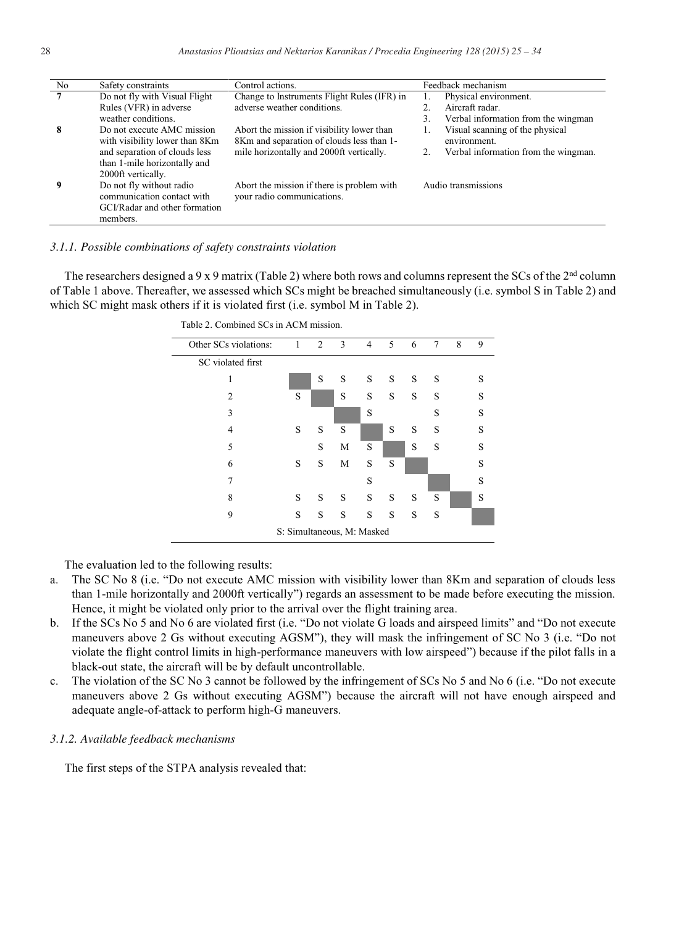| N <sub>o</sub> | Safety constraints                                                                                  | Control actions.                                                                        |    | Feedback mechanism                              |
|----------------|-----------------------------------------------------------------------------------------------------|-----------------------------------------------------------------------------------------|----|-------------------------------------------------|
|                | Do not fly with Visual Flight                                                                       | Change to Instruments Flight Rules (IFR) in                                             |    | Physical environment.                           |
|                | Rules (VFR) in adverse                                                                              | adverse weather conditions.                                                             |    | Aircraft radar.                                 |
|                | weather conditions.                                                                                 |                                                                                         | 3. | Verbal information from the wingman             |
| 8              | Do not execute AMC mission<br>with visibility lower than 8Km                                        | Abort the mission if visibility lower than<br>8Km and separation of clouds less than 1- |    | Visual scanning of the physical<br>environment. |
|                | and separation of clouds less<br>than 1-mile horizontally and<br>2000ft vertically.                 | mile horizontally and 2000ft vertically.                                                |    | Verbal information from the wingman.            |
| 9              | Do not fly without radio<br>communication contact with<br>GCI/Radar and other formation<br>members. | Abort the mission if there is problem with<br>your radio communications.                |    | Audio transmissions                             |

#### *3.1.1. Possible combinations of safety constraints violation*

The researchers designed a 9 x 9 matrix (Table 2) where both rows and columns represent the SCs of the  $2<sup>nd</sup>$  column of Table 1 above. Thereafter, we assessed which SCs might be breached simultaneously (i.e. symbol S in Table 2) and which SC might mask others if it is violated first (i.e. symbol M in Table 2).

| Other SCs violations:      | 1 | 2 | $\overline{\mathbf{3}}$ | $\overline{4}$ | 5 | 6 | 7 | 8 | 9 |
|----------------------------|---|---|-------------------------|----------------|---|---|---|---|---|
| SC violated first          |   |   |                         |                |   |   |   |   |   |
| 1                          |   | S | S                       | S              | S | S | S |   | S |
| $\overline{2}$             | S |   | S                       | S              | S | S | S |   | S |
| 3                          |   |   |                         | S              |   |   | S |   | S |
| $\overline{4}$             | S | S | S                       |                | S | S | S |   | S |
| 5                          |   | S | M                       | S              |   | S | S |   | S |
| 6                          | S | S | M                       | S              | S |   |   |   | S |
| 7                          |   |   |                         | S              |   |   |   |   | S |
| 8                          | S | S | S                       | S              | S | S | S |   | S |
| 9                          | S | S | S                       | S              | S | S | S |   |   |
| S: Simultaneous, M: Masked |   |   |                         |                |   |   |   |   |   |

Table 2. Combined SCs in ACM mission.

The evaluation led to the following results:

- a. The SC No 8 (i.e. "Do not execute AMC mission with visibility lower than 8Km and separation of clouds less than 1-mile horizontally and 2000ft vertically") regards an assessment to be made before executing the mission. Hence, it might be violated only prior to the arrival over the flight training area.
- b. If the SCs No 5 and No 6 are violated first (i.e. "Do not violate G loads and airspeed limits" and "Do not execute maneuvers above 2 Gs without executing AGSM"), they will mask the infringement of SC No 3 (i.e. "Do not violate the flight control limits in high-performance maneuvers with low airspeed") because if the pilot falls in a black-out state, the aircraft will be by default uncontrollable.
- c. The violation of the SC No 3 cannot be followed by the infringement of SCs No 5 and No 6 (i.e. "Do not execute maneuvers above 2 Gs without executing AGSM") because the aircraft will not have enough airspeed and adequate angle-of-attack to perform high-G maneuvers.

#### *3.1.2. Available feedback mechanisms*

The first steps of the STPA analysis revealed that: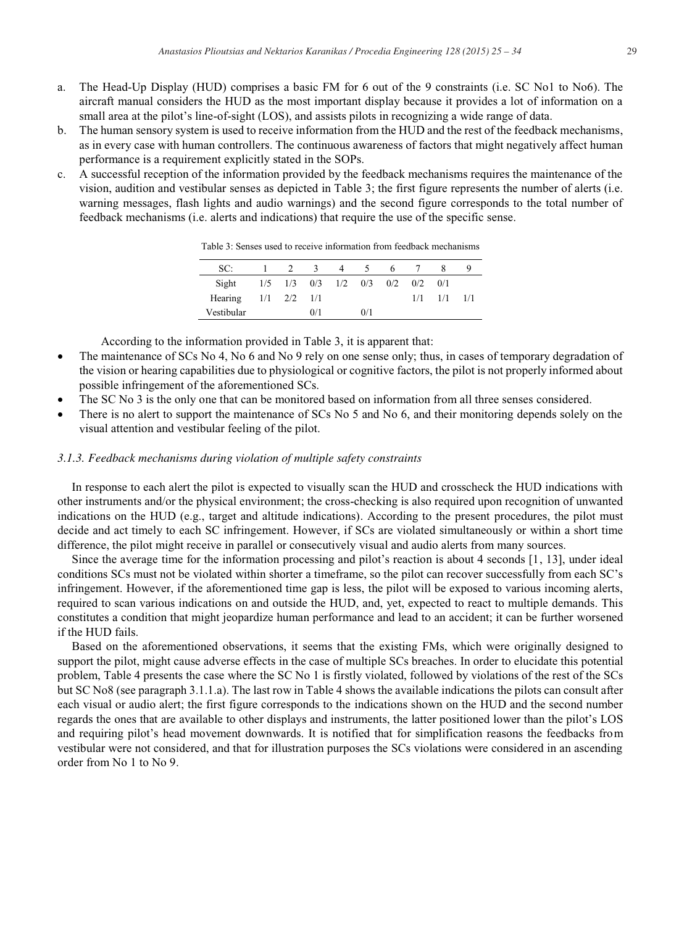- a. The Head-Up Display (HUD) comprises a basic FM for 6 out of the 9 constraints (i.e. SC No1 to No6). The aircraft manual considers the HUD as the most important display because it provides a lot of information on a small area at the pilot's line-of-sight (LOS), and assists pilots in recognizing a wide range of data.
- b. The human sensory system is used to receive information from the HUD and the rest of the feedback mechanisms, as in every case with human controllers. The continuous awareness of factors that might negatively affect human performance is a requirement explicitly stated in the SOPs.
- c. A successful reception of the information provided by the feedback mechanisms requires the maintenance of the vision, audition and vestibular senses as depicted in Table 3; the first figure represents the number of alerts (i.e. warning messages, flash lights and audio warnings) and the second figure corresponds to the total number of feedback mechanisms (i.e. alerts and indications) that require the use of the specific sense.

| SC:                       | $1 \quad 2$ | -3  | 4 | -5  |                                                 | 6 7 |                   |  |
|---------------------------|-------------|-----|---|-----|-------------------------------------------------|-----|-------------------|--|
| Sight                     |             |     |   |     | $1/5$ $1/3$ $0/3$ $1/2$ $0/3$ $0/2$ $0/2$ $0/1$ |     |                   |  |
| Hearing $1/1$ $2/2$ $1/1$ |             |     |   |     |                                                 |     | $1/1$ $1/1$ $1/1$ |  |
| Vestibular                |             | 0/1 |   | 0/1 |                                                 |     |                   |  |

Table 3: Senses used to receive information from feedback mechanisms

According to the information provided in Table 3, it is apparent that:

- The maintenance of SCs No 4, No 6 and No 9 rely on one sense only; thus, in cases of temporary degradation of the vision or hearing capabilities due to physiological or cognitive factors, the pilot is not properly informed about possible infringement of the aforementioned SCs.
- The SC No 3 is the only one that can be monitored based on information from all three senses considered.
- There is no alert to support the maintenance of SCs No 5 and No 6, and their monitoring depends solely on the visual attention and vestibular feeling of the pilot.

# *3.1.3. Feedback mechanisms during violation of multiple safety constraints*

In response to each alert the pilot is expected to visually scan the HUD and crosscheck the HUD indications with other instruments and/or the physical environment; the cross-checking is also required upon recognition of unwanted indications on the HUD (e.g., target and altitude indications). According to the present procedures, the pilot must decide and act timely to each SC infringement. However, if SCs are violated simultaneously or within a short time difference, the pilot might receive in parallel or consecutively visual and audio alerts from many sources.

Since the average time for the information processing and pilot's reaction is about 4 seconds [1, 13], under ideal conditions SCs must not be violated within shorter a timeframe, so the pilot can recover successfully from each SC's infringement. However, if the aforementioned time gap is less, the pilot will be exposed to various incoming alerts, required to scan various indications on and outside the HUD, and, yet, expected to react to multiple demands. This constitutes a condition that might jeopardize human performance and lead to an accident; it can be further worsened if the HUD fails.

Based on the aforementioned observations, it seems that the existing FMs, which were originally designed to support the pilot, might cause adverse effects in the case of multiple SCs breaches. In order to elucidate this potential problem, Table 4 presents the case where the SC No 1 is firstly violated, followed by violations of the rest of the SCs but SC No8 (see paragraph 3.1.1.a). The last row in Table 4 shows the available indications the pilots can consult after each visual or audio alert; the first figure corresponds to the indications shown on the HUD and the second number regards the ones that are available to other displays and instruments, the latter positioned lower than the pilot's LOS and requiring pilot's head movement downwards. It is notified that for simplification reasons the feedbacks from vestibular were not considered, and that for illustration purposes the SCs violations were considered in an ascending order from No 1 to No 9.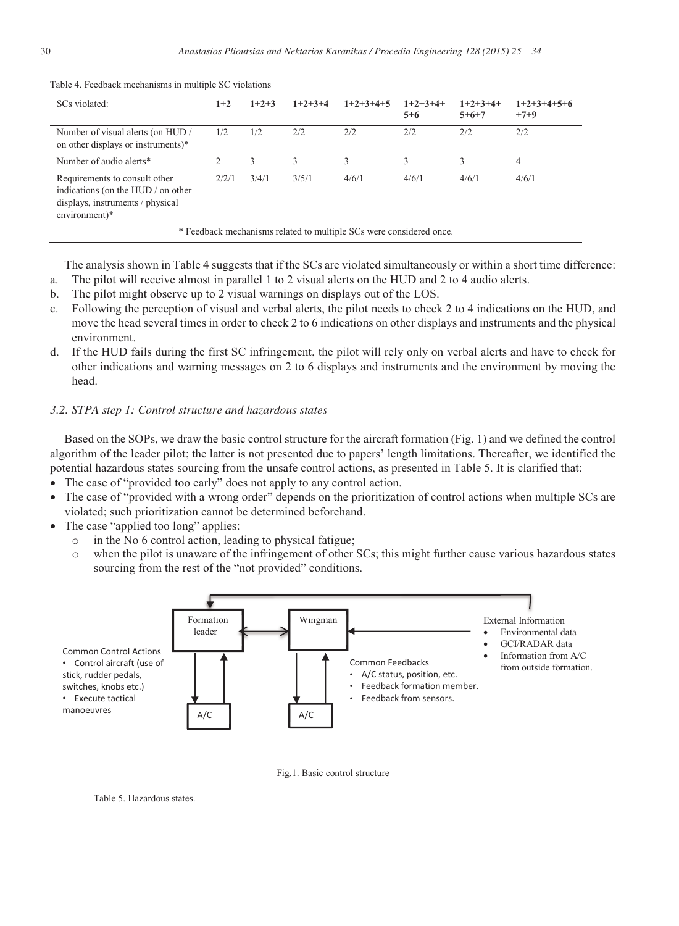| SCs violated:                                                                                                            | $1+2$ | $1+2+3$ | $1+2+3+4$ | $1+2+3+4+5$ | $1+2+3+4+$<br>$5 + 6$ | $1+2+3+4+$<br>$5+6+7$ | $1+2+3+4+5+6$<br>$+7+9$ |
|--------------------------------------------------------------------------------------------------------------------------|-------|---------|-----------|-------------|-----------------------|-----------------------|-------------------------|
| Number of visual alerts (on HUD /<br>on other displays or instruments)*                                                  | 1/2   | 1/2     | 2/2       | 2/2         | 2/2                   | 2/2                   | 2/2                     |
| Number of audio alerts*                                                                                                  | 2     | 3       | 3         | 3           | 3                     | 3                     | 4                       |
| Requirements to consult other<br>indications (on the HUD / on other<br>displays, instruments / physical<br>environment)* | 2/2/1 | 3/4/1   | 3/5/1     | 4/6/1       | 4/6/1                 | 4/6/1                 | 4/6/1                   |
| * Feedback mechanisms related to multiple SCs were considered once.                                                      |       |         |           |             |                       |                       |                         |

Table 4. Feedback mechanisms in multiple SC violations

The analysis shown in Table 4 suggests that if the SCs are violated simultaneously or within a short time difference:

- a. The pilot will receive almost in parallel 1 to 2 visual alerts on the HUD and 2 to 4 audio alerts.
- b. The pilot might observe up to 2 visual warnings on displays out of the LOS.
- c. Following the perception of visual and verbal alerts, the pilot needs to check 2 to 4 indications on the HUD, and move the head several times in order to check 2 to 6 indications on other displays and instruments and the physical environment.
- d. If the HUD fails during the first SC infringement, the pilot will rely only on verbal alerts and have to check for other indications and warning messages on 2 to 6 displays and instruments and the environment by moving the head.

# *3.2. STPA step 1: Control structure and hazardous states*

Based on the SOPs, we draw the basic control structure for the aircraft formation (Fig. 1) and we defined the control algorithm of the leader pilot; the latter is not presented due to papers' length limitations. Thereafter, we identified the potential hazardous states sourcing from the unsafe control actions, as presented in Table 5. It is clarified that:

- The case of "provided too early" does not apply to any control action.
- The case of "provided with a wrong order" depends on the prioritization of control actions when multiple SCs are violated; such prioritization cannot be determined beforehand.
- The case "applied too long" applies:
	- o in the No 6 control action, leading to physical fatigue;
	- o when the pilot is unaware of the infringement of other SCs; this might further cause various hazardous states sourcing from the rest of the "not provided" conditions.



Fig.1. Basic control structure

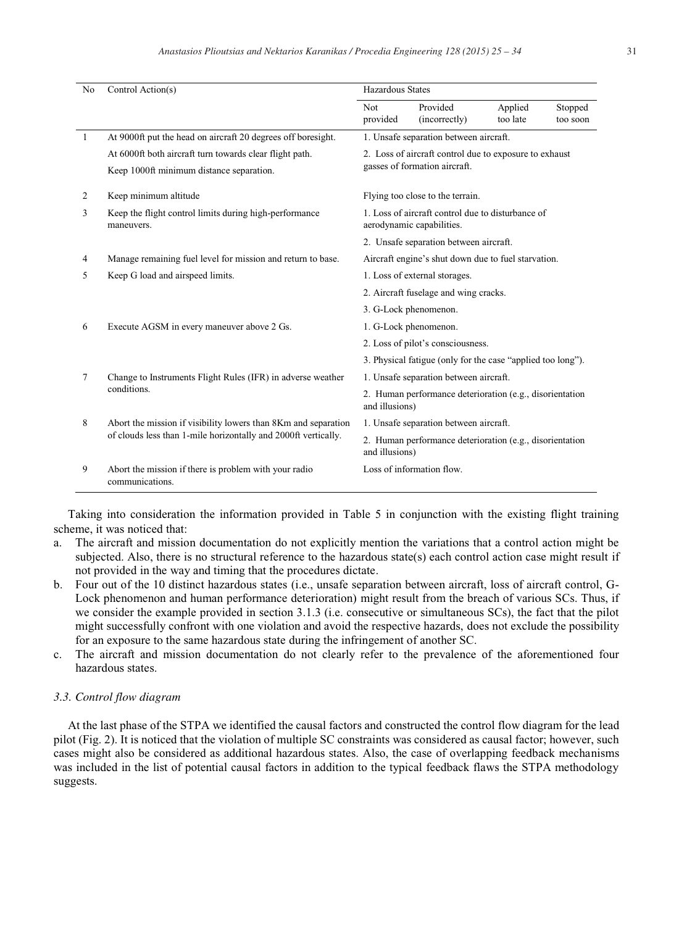| N <sub>0</sub> | Control Action(s)                                                        | <b>Hazardous States</b>                                |                                                                                |                     |                     |  |  |  |
|----------------|--------------------------------------------------------------------------|--------------------------------------------------------|--------------------------------------------------------------------------------|---------------------|---------------------|--|--|--|
|                |                                                                          | <b>Not</b><br>provided                                 | Provided<br>(incorrectly)                                                      | Applied<br>too late | Stopped<br>too soon |  |  |  |
| $\overline{1}$ | At 9000ft put the head on aircraft 20 degrees off boresight.             |                                                        | 1. Unsafe separation between aircraft.                                         |                     |                     |  |  |  |
|                | At 6000ft both aircraft turn towards clear flight path.                  | 2. Loss of aircraft control due to exposure to exhaust |                                                                                |                     |                     |  |  |  |
|                | Keep 1000ft minimum distance separation.                                 |                                                        | gasses of formation aircraft.                                                  |                     |                     |  |  |  |
| 2              | Keep minimum altitude                                                    |                                                        | Flying too close to the terrain.                                               |                     |                     |  |  |  |
| 3              | Keep the flight control limits during high-performance<br>maneuvers.     |                                                        | 1. Loss of aircraft control due to disturbance of<br>aerodynamic capabilities. |                     |                     |  |  |  |
|                |                                                                          |                                                        | 2. Unsafe separation between aircraft.                                         |                     |                     |  |  |  |
| $\overline{4}$ | Manage remaining fuel level for mission and return to base.              |                                                        | Aircraft engine's shut down due to fuel starvation.                            |                     |                     |  |  |  |
| 5              | Keep G load and airspeed limits.                                         |                                                        | 1. Loss of external storages.                                                  |                     |                     |  |  |  |
|                |                                                                          | 2. Aircraft fuselage and wing cracks.                  |                                                                                |                     |                     |  |  |  |
|                |                                                                          | 3. G-Lock phenomenon.                                  |                                                                                |                     |                     |  |  |  |
| 6              | Execute AGSM in every maneuver above 2 Gs.                               | 1. G-Lock phenomenon.                                  |                                                                                |                     |                     |  |  |  |
|                |                                                                          |                                                        | 2. Loss of pilot's consciousness.                                              |                     |                     |  |  |  |
|                |                                                                          |                                                        | 3. Physical fatigue (only for the case "applied too long").                    |                     |                     |  |  |  |
| 7              | Change to Instruments Flight Rules (IFR) in adverse weather              |                                                        | 1. Unsafe separation between aircraft.                                         |                     |                     |  |  |  |
|                | conditions.                                                              | and illusions)                                         | 2. Human performance deterioration (e.g., disorientation                       |                     |                     |  |  |  |
| 8              | Abort the mission if visibility lowers than 8Km and separation           | 1. Unsafe separation between aircraft.                 |                                                                                |                     |                     |  |  |  |
|                | of clouds less than 1-mile horizontally and 2000ft vertically.           | and illusions)                                         | 2. Human performance deterioration (e.g., disorientation                       |                     |                     |  |  |  |
| 9              | Abort the mission if there is problem with your radio<br>communications. |                                                        | Loss of information flow.                                                      |                     |                     |  |  |  |

Taking into consideration the information provided in Table 5 in conjunction with the existing flight training scheme, it was noticed that:

- a. The aircraft and mission documentation do not explicitly mention the variations that a control action might be subjected. Also, there is no structural reference to the hazardous state(s) each control action case might result if not provided in the way and timing that the procedures dictate.
- b. Four out of the 10 distinct hazardous states (i.e., unsafe separation between aircraft, loss of aircraft control, G-Lock phenomenon and human performance deterioration) might result from the breach of various SCs. Thus, if we consider the example provided in section 3.1.3 (i.e. consecutive or simultaneous SCs), the fact that the pilot might successfully confront with one violation and avoid the respective hazards, does not exclude the possibility for an exposure to the same hazardous state during the infringement of another SC.
- c. The aircraft and mission documentation do not clearly refer to the prevalence of the aforementioned four hazardous states.

# *3.3. Control flow diagram*

At the last phase of the STPA we identified the causal factors and constructed the control flow diagram for the lead pilot (Fig. 2). It is noticed that the violation of multiple SC constraints was considered as causal factor; however, such cases might also be considered as additional hazardous states. Also, the case of overlapping feedback mechanisms was included in the list of potential causal factors in addition to the typical feedback flaws the STPA methodology suggests.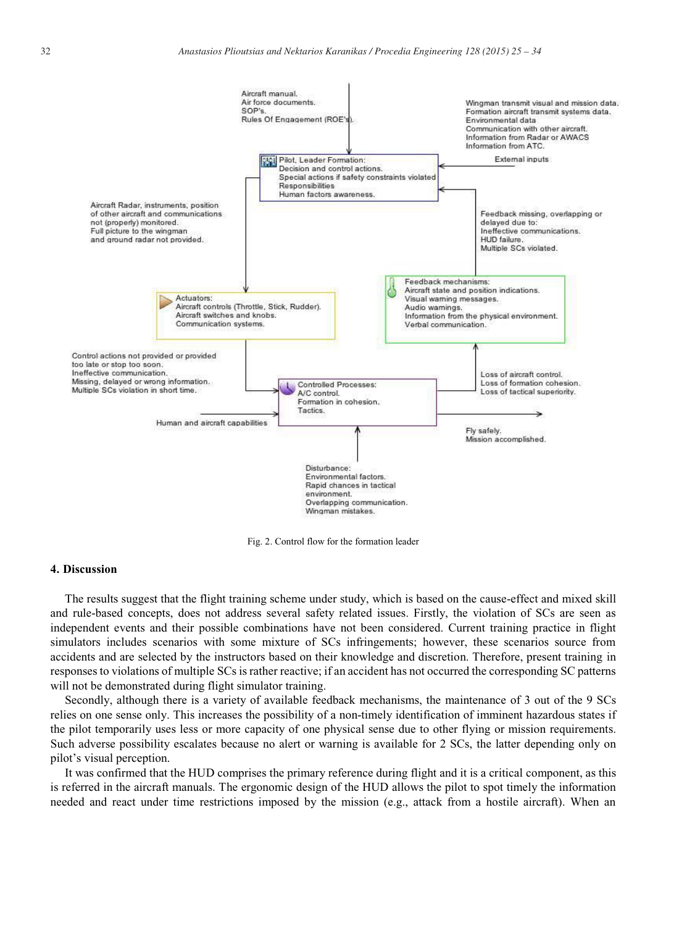

Fig. 2. Control flow for the formation leader

# **4. Discussion**

The results suggest that the flight training scheme under study, which is based on the cause-effect and mixed skill and rule-based concepts, does not address several safety related issues. Firstly, the violation of SCs are seen as independent events and their possible combinations have not been considered. Current training practice in flight simulators includes scenarios with some mixture of SCs infringements; however, these scenarios source from accidents and are selected by the instructors based on their knowledge and discretion. Therefore, present training in responses to violations of multiple SCs is rather reactive; if an accident has not occurred the corresponding SC patterns will not be demonstrated during flight simulator training.

Secondly, although there is a variety of available feedback mechanisms, the maintenance of 3 out of the 9 SCs relies on one sense only. This increases the possibility of a non-timely identification of imminent hazardous states if the pilot temporarily uses less or more capacity of one physical sense due to other flying or mission requirements. Such adverse possibility escalates because no alert or warning is available for 2 SCs, the latter depending only on pilot's visual perception.

It was confirmed that the HUD comprises the primary reference during flight and it is a critical component, as this is referred in the aircraft manuals. The ergonomic design of the HUD allows the pilot to spot timely the information needed and react under time restrictions imposed by the mission (e.g., attack from a hostile aircraft). When an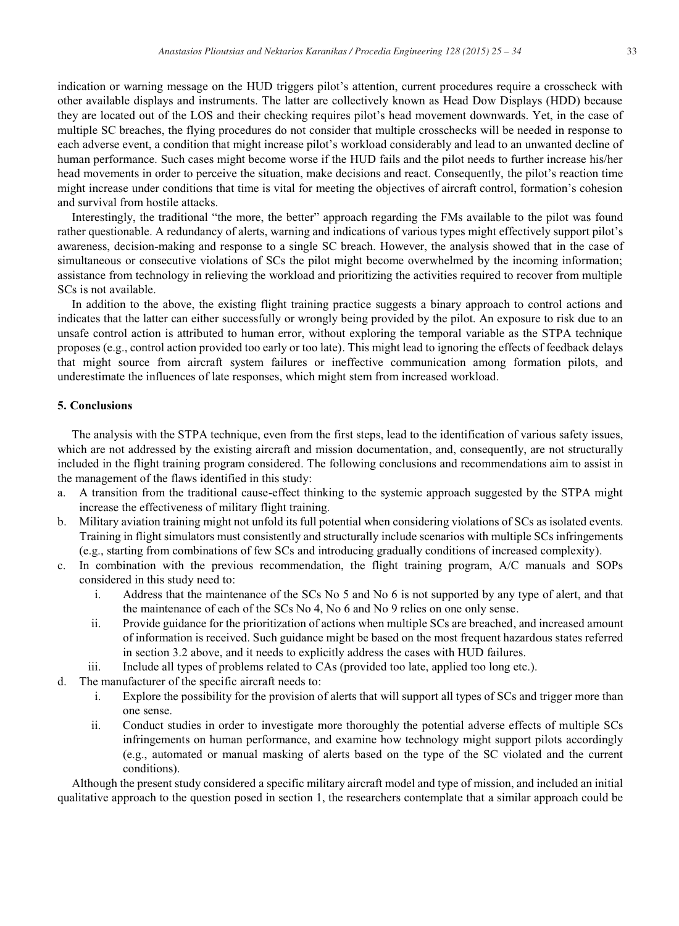indication or warning message on the HUD triggers pilot's attention, current procedures require a crosscheck with other available displays and instruments. The latter are collectively known as Head Dow Displays (HDD) because they are located out of the LOS and their checking requires pilot's head movement downwards. Yet, in the case of multiple SC breaches, the flying procedures do not consider that multiple crosschecks will be needed in response to each adverse event, a condition that might increase pilot's workload considerably and lead to an unwanted decline of human performance. Such cases might become worse if the HUD fails and the pilot needs to further increase his/her head movements in order to perceive the situation, make decisions and react. Consequently, the pilot's reaction time might increase under conditions that time is vital for meeting the objectives of aircraft control, formation's cohesion and survival from hostile attacks.

Interestingly, the traditional "the more, the better" approach regarding the FMs available to the pilot was found rather questionable. A redundancy of alerts, warning and indications of various types might effectively support pilot's awareness, decision-making and response to a single SC breach. However, the analysis showed that in the case of simultaneous or consecutive violations of SCs the pilot might become overwhelmed by the incoming information; assistance from technology in relieving the workload and prioritizing the activities required to recover from multiple SCs is not available.

In addition to the above, the existing flight training practice suggests a binary approach to control actions and indicates that the latter can either successfully or wrongly being provided by the pilot. An exposure to risk due to an unsafe control action is attributed to human error, without exploring the temporal variable as the STPA technique proposes (e.g., control action provided too early or too late). This might lead to ignoring the effects of feedback delays that might source from aircraft system failures or ineffective communication among formation pilots, and underestimate the influences of late responses, which might stem from increased workload.

# **5. Conclusions**

The analysis with the STPA technique, even from the first steps, lead to the identification of various safety issues, which are not addressed by the existing aircraft and mission documentation, and, consequently, are not structurally included in the flight training program considered. The following conclusions and recommendations aim to assist in the management of the flaws identified in this study:

- a. A transition from the traditional cause-effect thinking to the systemic approach suggested by the STPA might increase the effectiveness of military flight training.
- b. Military aviation training might not unfold its full potential when considering violations of SCs as isolated events. Training in flight simulators must consistently and structurally include scenarios with multiple SCs infringements (e.g., starting from combinations of few SCs and introducing gradually conditions of increased complexity).
- c. In combination with the previous recommendation, the flight training program, A/C manuals and SOPs considered in this study need to:
	- i. Address that the maintenance of the SCs No 5 and No 6 is not supported by any type of alert, and that the maintenance of each of the SCs No 4, No 6 and No 9 relies on one only sense.
	- ii. Provide guidance for the prioritization of actions when multiple SCs are breached, and increased amount of information is received. Such guidance might be based on the most frequent hazardous states referred in section 3.2 above, and it needs to explicitly address the cases with HUD failures.
	- iii. Include all types of problems related to CAs (provided too late, applied too long etc.).
- d. The manufacturer of the specific aircraft needs to:
	- i. Explore the possibility for the provision of alerts that will support all types of SCs and trigger more than one sense.
	- ii. Conduct studies in order to investigate more thoroughly the potential adverse effects of multiple SCs infringements on human performance, and examine how technology might support pilots accordingly (e.g., automated or manual masking of alerts based on the type of the SC violated and the current conditions).

Although the present study considered a specific military aircraft model and type of mission, and included an initial qualitative approach to the question posed in section 1, the researchers contemplate that a similar approach could be